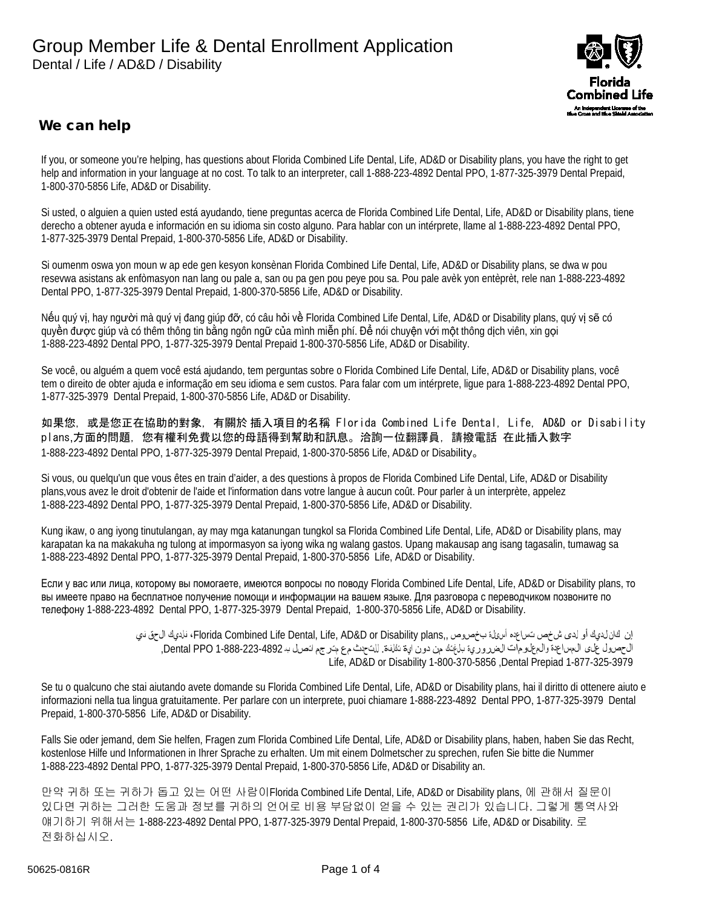

## We can help

If you, or someone you're helping, has questions about Florida Combined Life Dental, Life, AD&D or Disability plans, you have the right to get help and information in your language at no cost. To talk to an interpreter, call 1-888-223-4892 Dental PPO, 1-877-325-3979 Dental Prepaid, 1-800-370-5856 Life, AD&D or Disability.

Si usted, o alguien a quien usted está ayudando, tiene preguntas acerca de Florida Combined Life Dental, Life, AD&D or Disability plans, tiene derecho a obtener ayuda e información en su idioma sin costo alguno. Para hablar con un intérprete, llame al 1-888-223-4892 Dental PPO, 1-877-325-3979 Dental Prepaid, 1-800-370-5856 Life, AD&D or Disability.

Si oumenm oswa yon moun w ap ede gen kesyon konsènan Florida Combined Life Dental, Life, AD&D or Disability plans, se dwa w pou resevwa asistans ak enfòmasyon nan lang ou pale a, san ou pa gen pou peye pou sa. Pou pale avèk yon entèprèt, rele nan 1-888-223-4892 Dental PPO, 1-877-325-3979 Dental Prepaid, 1-800-370-5856 Life, AD&D or Disability.

Nếu quý vị, hay người mà quý vị đang giúp đỡ, có câu hỏi về Florida Combined Life Dental, Life, AD&D or Disability plans, quý vị sẽ có quyền được giúp và có thêm thông tin bằng ngôn ngữ của mình miễn phí. Để nói chuyện với một thông dịch viên, xin gọi 1-888-223-4892 Dental PPO, 1-877-325-3979 Dental Prepaid 1-800-370-5856 Life, AD&D or Disability.

Se você, ou alguém a quem você está ajudando, tem perguntas sobre o Florida Combined Life Dental, Life, AD&D or Disability plans, você tem o direito de obter ajuda e informação em seu idioma e sem custos. Para falar com um intérprete, ligue para 1-888-223-4892 Dental PPO, 1-877-325-3979 Dental Prepaid, 1-800-370-5856 Life, AD&D or Disability.

如果您,或是您正在協助的對象,有關於 插入項目的名稱 Florida Combined Life Dental, Life, AD&D or Disability plans,方面的問題,您有權利免費以您的母語得到幫助和訊息。洽詢一位翻譯員,請撥電話 在此插入數字 1-888-223-4892 Dental PPO, 1-877-325-3979 Dental Prepaid, 1-800-370-5856 Life, AD&D or Disability。

Si vous, ou quelqu'un que vous êtes en train d'aider, a des questions à propos de Florida Combined Life Dental, Life, AD&D or Disability plans,vous avez le droit d'obtenir de l'aide et l'information dans votre langue à aucun coût. Pour parler à un interprète, appelez 1-888-223-4892 Dental PPO, 1-877-325-3979 Dental Prepaid, 1-800-370-5856 Life, AD&D or Disability.

Kung ikaw, o ang iyong tinutulangan, ay may mga katanungan tungkol sa Florida Combined Life Dental, Life, AD&D or Disability plans, may karapatan ka na makakuha ng tulong at impormasyon sa iyong wika ng walang gastos. Upang makausap ang isang tagasalin, tumawag sa 1-888-223-4892 Dental PPO, 1-877-325-3979 Dental Prepaid, 1-800-370-5856 Life, AD&D or Disability.

Если у вас или лица, которому вы помогаете, имеются вопросы по поводу Florida Combined Life Dental, Life, AD&D or Disability plans, то вы имеете право на бесплатное получение помощи и информации на вашем языке. Для разговора с переводчиком позвоните по телефону 1-888-223-4892 Dental PPO, 1-877-325-3979 Dental Prepaid, 1-800-370-5856 Life, AD&D or Disability.

> إن كان لديك أو لدى شخص تساعده أسئلة بخصوص ,,Florida Combined Life Dental, Life, AD&D or Disability plans فلديك الحق في الحصول على المساعدة والمعلومات الضرورية بلغتك من دون اية تكلفة. للتحدث مع مترجم اتصل بـ 1-888-223-4892 PPO Dental, Life, AD&D or Disability 1-800-370-5856 ,Dental Prepiad 1-877-325-3979

Se tu o qualcuno che stai aiutando avete domande su Florida Combined Life Dental, Life, AD&D or Disability plans, hai il diritto di ottenere aiuto e informazioni nella tua lingua gratuitamente. Per parlare con un interprete, puoi chiamare 1-888-223-4892 Dental PPO, 1-877-325-3979 Dental Prepaid, 1-800-370-5856 Life, AD&D or Disability.

Falls Sie oder jemand, dem Sie helfen, Fragen zum Florida Combined Life Dental, Life, AD&D or Disability plans, haben, haben Sie das Recht, kostenlose Hilfe und Informationen in Ihrer Sprache zu erhalten. Um mit einem Dolmetscher zu sprechen, rufen Sie bitte die Nummer 1-888-223-4892 Dental PPO, 1-877-325-3979 Dental Prepaid, 1-800-370-5856 Life, AD&D or Disability an.

만약 귀하 또는 귀하가 돕고 있는 어떤 사람이Florida Combined Life Dental, Life, AD&D or Disability plans, 에 관해서 질문이 있다면 귀하는 그러한 도움과 정보를 귀하의 언어로 비용 부담없이 얻을 수 있는 권리가 있습니다. 그렇게 통역사와 얘기하기 위해서는 1-888-223-4892 Dental PPO, 1-877-325-3979 Dental Prepaid, 1-800-370-5856 Life, AD&D or Disability. 로 전화하십시오.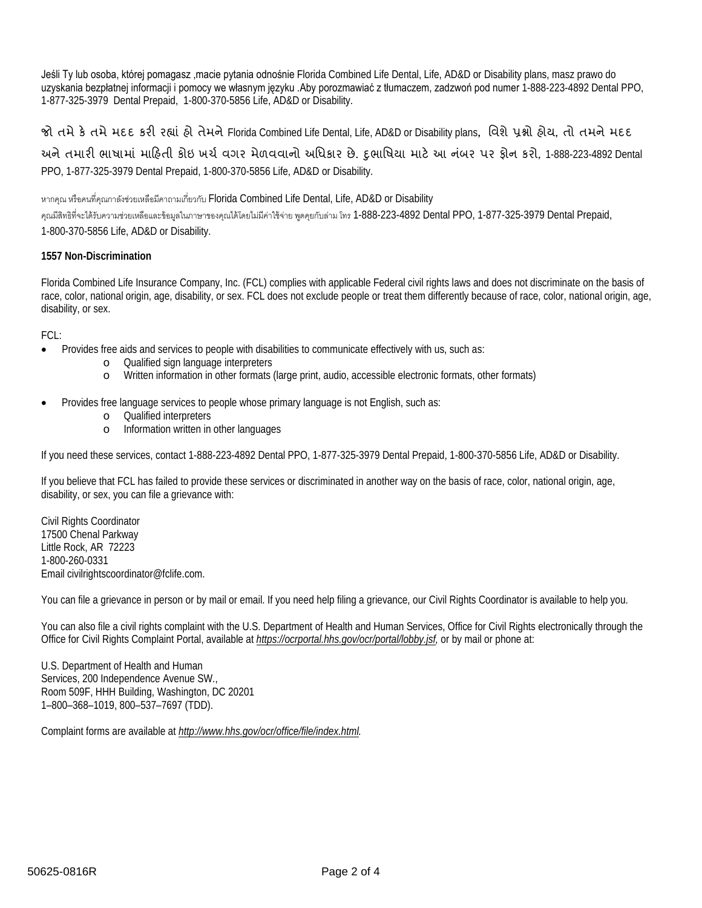Jeśli Ty lub osoba, której pomagasz ,macie pytania odnośnie Florida Combined Life Dental, Life, AD&D or Disability plans, masz prawo do uzyskania bezpłatnej informacji i pomocy we własnym języku .Aby porozmawiać z tłumaczem, zadzwoń pod numer 1-888-223-4892 Dental PPO, 1-877-325-3979 Dental Prepaid, 1-800-370-5856 Life, AD&D or Disability.

## જો તમે કે તમે મદદ કરી રહ્યાં હો તેમને Florida Combined Life Dental, Life, AD&D or Disability plans, વિશે પ્રશ્નો હોય, તો તમને મદદ

અને તમારી ભાષામાં માહિતી કોઇ ખર્ચ વગર મેળવવાનો અધિકાર છે. દુભાષિયા માટે આ નંબર પર ફોન કરો, 1-888-223-4892 Dental PPO, 1-877-325-3979 Dental Prepaid, 1-800-370-5856 Life, AD&D or Disability.

หากคุณ หรือคนที่คุณกาลังช่วยเหลือมีคาถามเกี่ยวกับ Florida Combined Life Dental, Life, AD&D or Disability

คุณมีสิทธิที่จะได้รับความช่วยเหลือและข้อมูลในภาษาของคุณได้โดยไม่มีค่าใช้จ่าย พูดคุยกับล่าม โทร 1-888-223-4892 Dental PPO, 1-877-325-3979 Dental Prepaid, 1-800-370-5856 Life, AD&D or Disability.

## **1557 Non-Discrimination**

Florida Combined Life Insurance Company, Inc. (FCL) complies with applicable Federal civil rights laws and does not discriminate on the basis of race, color, national origin, age, disability, or sex. FCL does not exclude people or treat them differently because of race, color, national origin, age, disability, or sex.

FCL:

- Provides free aids and services to people with disabilities to communicate effectively with us, such as:
	- o Qualified sign language interpreters
	- o Written information in other formats (large print, audio, accessible electronic formats, other formats)
- Provides free language services to people whose primary language is not English, such as:
	- o Qualified interpreters
	- o Information written in other languages

If you need these services, contact 1-888-223-4892 Dental PPO, 1-877-325-3979 Dental Prepaid, 1-800-370-5856 Life, AD&D or Disability.

If you believe that FCL has failed to provide these services or discriminated in another way on the basis of race, color, national origin, age, disability, or sex, you can file a grievance with:

Civil Rights Coordinator 17500 Chenal Parkway Little Rock, AR 72223 1-800-260-0331 Email civilrightscoordinator@fclife.com.

You can file a grievance in person or by mail or email. If you need help filing a grievance, our Civil Rights Coordinator is available to help you.

You can also file a civil rights complaint with the U.S. Department of Health and Human Services, Office for Civil Rights electronically through the Office for Civil Rights Complaint Portal, available at *[https://ocrportal.hhs.gov/ocr/portal/lobby.jsf,](https://ocrportal.hhs.gov/ocr/portal/lobby.jsf)* or by mail or phone at:

U.S. Department of Health and Human Services, 200 Independence Avenue SW., Room 509F, HHH Building, Washington, DC 20201 1–800–368–1019, 800–537–7697 (TDD).

Complaint forms are available at *[http://www.hhs.gov/ocr/office/file/index.html.](http://www.hhs.gov/ocr/office/file/index.html)*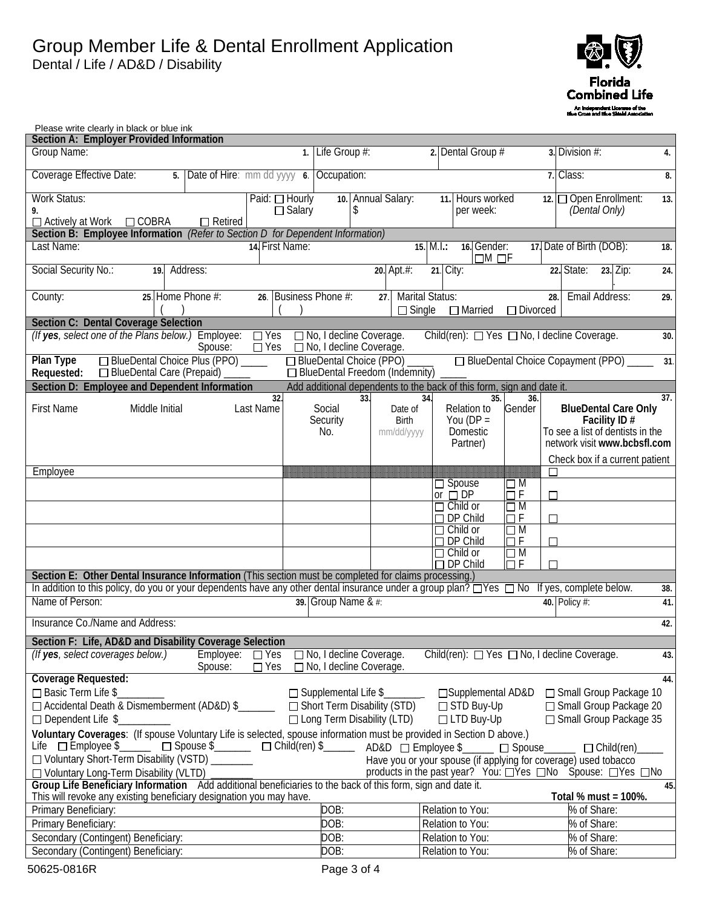

| Please write clearly in black or blue ink                                                                                                                                                                                                                                      |                                 |                                                               |                                                |                                                                       |                                 |                                                                                      |     |
|--------------------------------------------------------------------------------------------------------------------------------------------------------------------------------------------------------------------------------------------------------------------------------|---------------------------------|---------------------------------------------------------------|------------------------------------------------|-----------------------------------------------------------------------|---------------------------------|--------------------------------------------------------------------------------------|-----|
| <b>Section A: Employer Provided Information</b><br>Group Name:                                                                                                                                                                                                                 |                                 | Life Group #:                                                 |                                                | 2. Dental Group #                                                     |                                 | 3. Division #:                                                                       |     |
|                                                                                                                                                                                                                                                                                | $\mathbf{1}$ .                  |                                                               |                                                |                                                                       |                                 |                                                                                      | 4.  |
| Coverage Effective Date:<br>5. Date of Hire: mm dd yyyy 6.                                                                                                                                                                                                                     |                                 | Occupation:                                                   |                                                |                                                                       |                                 | 7. Class:                                                                            | 8.  |
| <b>Work Status:</b><br>9.                                                                                                                                                                                                                                                      | Paid: □ Hourly<br>$\Box$ Salary | \$                                                            | 10. Annual Salary:                             | 11. Hours worked<br>per week:                                         |                                 | 12. Open Enrollment:<br>(Dental Only)                                                | 13. |
| $\Box$ COBRA<br>$\Box$ Retired<br>$\Box$ Actively at Work                                                                                                                                                                                                                      |                                 |                                                               |                                                |                                                                       |                                 |                                                                                      |     |
| Section B: Employee Information (Refer to Section D for Dependent Information)                                                                                                                                                                                                 |                                 |                                                               |                                                |                                                                       |                                 |                                                                                      |     |
| Last Name:                                                                                                                                                                                                                                                                     | 14. First Name:                 |                                                               |                                                | 16. Gender:<br>15. M.L.:<br>$\Box M$ $\Box F$                         |                                 | 17. Date of Birth (DOB):                                                             | 18. |
| Social Security No.:<br>Address:<br>19.                                                                                                                                                                                                                                        |                                 |                                                               | 20. Apt.#:                                     | 21. City:                                                             |                                 | 22. State:<br>23. Zip:                                                               | 24. |
| 25. Home Phone #:<br>County:                                                                                                                                                                                                                                                   | 26. Business Phone #:           |                                                               | <b>Marital Status:</b><br>27.<br>$\Box$ Single | $\Box$ Married                                                        | 28.<br>□ Divorced               | Email Address:                                                                       | 29. |
| <b>Section C: Dental Coverage Selection</b>                                                                                                                                                                                                                                    |                                 |                                                               |                                                |                                                                       |                                 |                                                                                      |     |
| (If yes, select one of the Plans below.) Employee:<br>Spouse:                                                                                                                                                                                                                  | $\Box$ Yes<br>$\Box$ Yes        | □ No, I decline Coverage.<br>□ No, I decline Coverage.        |                                                | Child(ren): □ Yes □ No, I decline Coverage.                           |                                 |                                                                                      | 30. |
| □ BlueDental Choice Plus (PPO) _____<br>Plan Type<br>□ BlueDental Care (Prepaid)<br>Requested:                                                                                                                                                                                 |                                 | □ BlueDental Choice (PPO)<br>□ BlueDental Freedom (Indemnity) |                                                |                                                                       |                                 | □ BlueDental Choice Copayment (PPO)                                                  | 31. |
| Section D: Employee and Dependent Information                                                                                                                                                                                                                                  |                                 |                                                               |                                                | Add additional dependents to the back of this form, sign and date it. |                                 |                                                                                      |     |
|                                                                                                                                                                                                                                                                                | 32.                             | 33.                                                           | 34.                                            | 35.                                                                   | 36.                             |                                                                                      | 37. |
| <b>First Name</b><br>Middle Initial                                                                                                                                                                                                                                            | Last Name                       | Social                                                        | Date of                                        | Relation to                                                           | Gender                          | <b>BlueDental Care Only</b>                                                          |     |
|                                                                                                                                                                                                                                                                                |                                 | Security<br>No.                                               | <b>Birth</b><br>mm/dd/yyyy                     | You ( $DP =$<br><b>Domestic</b>                                       |                                 | <b>Facility ID <math>#</math></b><br>To see a list of dentists in the                |     |
|                                                                                                                                                                                                                                                                                |                                 |                                                               |                                                | Partner)                                                              |                                 | network visit www.bcbsfl.com                                                         |     |
|                                                                                                                                                                                                                                                                                |                                 |                                                               |                                                |                                                                       |                                 | Check box if a current patient                                                       |     |
| Employee                                                                                                                                                                                                                                                                       |                                 |                                                               |                                                |                                                                       |                                 |                                                                                      |     |
|                                                                                                                                                                                                                                                                                |                                 |                                                               |                                                | $\Box$ Spouse                                                         | $\square$ M                     |                                                                                      |     |
|                                                                                                                                                                                                                                                                                |                                 |                                                               |                                                | or $\Box$ DP<br>$\Box$ Child or                                       | $\Box$ F<br>$\overline{\Box}$ M |                                                                                      |     |
|                                                                                                                                                                                                                                                                                |                                 |                                                               |                                                | $\Box$ DP Child                                                       | $\Box F$<br>П                   |                                                                                      |     |
|                                                                                                                                                                                                                                                                                |                                 |                                                               |                                                | $\Box$ Child or                                                       | $\Box$ M                        |                                                                                      |     |
|                                                                                                                                                                                                                                                                                |                                 |                                                               |                                                | $\Box$ DP Child<br>$\Box$ Child or                                    | $\Box$ F<br>$\Box$ M            |                                                                                      |     |
|                                                                                                                                                                                                                                                                                |                                 |                                                               |                                                | $\Box$ DP Child                                                       | $\Box$ F<br>П                   |                                                                                      |     |
| Section E: Other Dental Insurance Information (This section must be completed for claims processing.)                                                                                                                                                                          |                                 |                                                               |                                                |                                                                       |                                 |                                                                                      |     |
| In addition to this policy, do you or your dependents have any other dental insurance under a group plan? $\Box$ Yes $\Box$ No                                                                                                                                                 |                                 |                                                               |                                                |                                                                       |                                 | If yes, complete below.                                                              | 38. |
| Name of Person:                                                                                                                                                                                                                                                                |                                 | 39. Group Name & #:                                           |                                                |                                                                       |                                 | 40. Policy #:                                                                        | 41. |
| Insurance Co./Name and Address:                                                                                                                                                                                                                                                |                                 |                                                               |                                                |                                                                       |                                 |                                                                                      | 42. |
| Section F: Life, AD&D and Disability Coverage Selection                                                                                                                                                                                                                        |                                 |                                                               |                                                |                                                                       |                                 |                                                                                      |     |
| Employee:<br>(If yes, select coverages below.)<br>Spouse:                                                                                                                                                                                                                      | $\Box$ Yes<br>$\Box$ Yes        | No, I decline Coverage.<br>□ No, I decline Coverage.          |                                                | Child(ren): □ Yes □ No, I decline Coverage.                           |                                 |                                                                                      | 43. |
| Coverage Requested:                                                                                                                                                                                                                                                            |                                 |                                                               |                                                |                                                                       |                                 |                                                                                      | 44. |
| $\Box$ Basic Term Life \$                                                                                                                                                                                                                                                      |                                 |                                                               |                                                | □ Supplemental Life \$<br><u>□ Supplemental AD&amp;D</u>              |                                 | □ Small Group Package 10                                                             |     |
| □ Accidental Death & Dismemberment (AD&D) \$                                                                                                                                                                                                                                   |                                 | □ Short Term Disability (STD)                                 |                                                | □ STD Buy-Up                                                          |                                 | □ Small Group Package 20                                                             |     |
| $\Box$ Dependent Life \$                                                                                                                                                                                                                                                       |                                 | $\Box$ Long Term Disability (LTD)                             |                                                | $\Box$ LTD Buy-Up                                                     |                                 | □ Small Group Package 35                                                             |     |
| Voluntary Coverages: (If spouse Voluntary Life is selected, spouse information must be provided in Section D above.)<br>Life □ Employee'\$<br>□ Spouse \$<br>□ Child(ren) \$<br>2002, AD&D □ Employee \$<br>2008                                                               |                                 |                                                               |                                                |                                                                       |                                 |                                                                                      |     |
| □ Voluntary Short-Term Disability (VSTD) _______                                                                                                                                                                                                                               |                                 |                                                               |                                                |                                                                       | $\Box$ $\Box$ Spouse            | $\Box$ Child(ren)<br>Have you or your spouse (if applying for coverage) used tobacco |     |
| □ Voluntary Long-Term Disability (VLTD)                                                                                                                                                                                                                                        |                                 |                                                               |                                                |                                                                       |                                 |                                                                                      |     |
| products in the past year? You: DYes DNo Spouse: DYes DNo<br>Group Life Beneficiary Information Add additional beneficiaries to the back of this form, sign and date it.<br>45.<br>This will revoke any existing beneficiary designation you may have.<br>Total % must = 100%. |                                 |                                                               |                                                |                                                                       |                                 |                                                                                      |     |
| Primary Beneficiary:                                                                                                                                                                                                                                                           |                                 | DOB:                                                          |                                                | Relation to You:                                                      |                                 | % of Share:                                                                          |     |
| Primary Beneficiary:                                                                                                                                                                                                                                                           |                                 | DOB:                                                          |                                                | Relation to You:                                                      |                                 | % of Share:                                                                          |     |
| Secondary (Contingent) Beneficiary:                                                                                                                                                                                                                                            |                                 | DOB:                                                          |                                                | Relation to You:                                                      |                                 | % of Share:                                                                          |     |
| Secondary (Contingent) Beneficiary:                                                                                                                                                                                                                                            |                                 | DOB:                                                          |                                                | Relation to You:                                                      |                                 | % of Share:                                                                          |     |